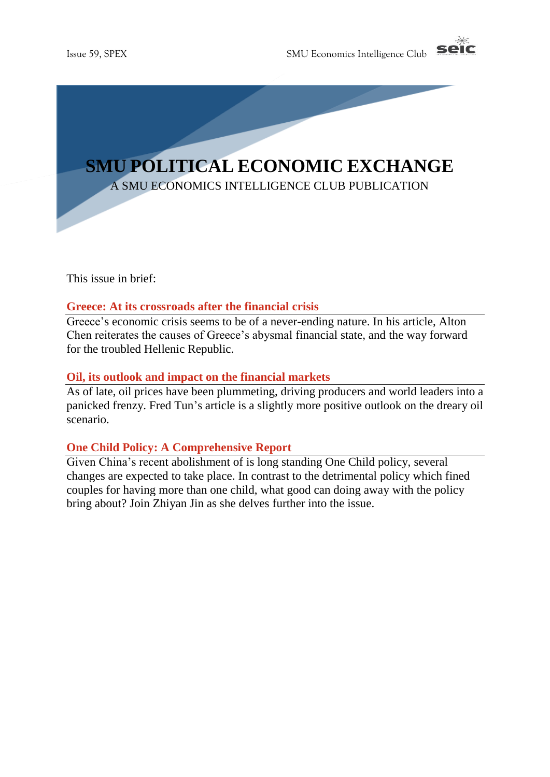



This issue in brief:

### **Greece: At its crossroads after the financial crisis**

Greece's economic crisis seems to be of a never-ending nature. In his article, Alton Chen reiterates the causes of Greece's abysmal financial state, and the way forward for the troubled Hellenic Republic.

### **Oil, its outlook and impact on the financial markets**

As of late, oil prices have been plummeting, driving producers and world leaders into a panicked frenzy. Fred Tun's article is a slightly more positive outlook on the dreary oil scenario.

### **One Child Policy: A Comprehensive Report**

Given China's recent abolishment of is long standing One Child policy, several changes are expected to take place. In contrast to the detrimental policy which fined couples for having more than one child, what good can doing away with the policy bring about? Join Zhiyan Jin as she delves further into the issue.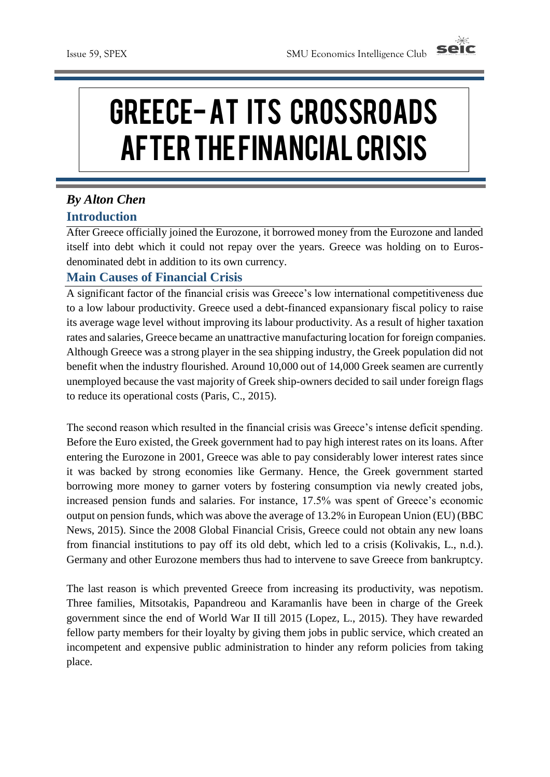

# Greece-At its crossroads after the financial crisis

# *By Alton Chen* **Introduction**

After Greece officially joined the Eurozone, it borrowed money from the Eurozone and landed itself into debt which it could not repay over the years. Greece was holding on to Eurosdenominated debt in addition to its own currency.

### **Main Causes of Financial Crisis**

A significant factor of the financial crisis was Greece's low international competitiveness due to a low labour productivity. Greece used a debt-financed expansionary fiscal policy to raise its average wage level without improving its labour productivity. As a result of higher taxation rates and salaries, Greece became an unattractive manufacturing location for foreign companies. Although Greece was a strong player in the sea shipping industry, the Greek population did not benefit when the industry flourished. Around 10,000 out of 14,000 Greek seamen are currently unemployed because the vast majority of Greek ship-owners decided to sail under foreign flags to reduce its operational costs (Paris, C., 2015).

The second reason which resulted in the financial crisis was Greece's intense deficit spending. Before the Euro existed, the Greek government had to pay high interest rates on its loans. After entering the Eurozone in 2001, Greece was able to pay considerably lower interest rates since it was backed by strong economies like Germany. Hence, the Greek government started borrowing more money to garner voters by fostering consumption via newly created jobs, increased pension funds and salaries. For instance, 17.5% was spent of Greece's economic output on pension funds, which was above the average of 13.2% in European Union (EU) (BBC News, 2015). Since the 2008 Global Financial Crisis, Greece could not obtain any new loans from financial institutions to pay off its old debt, which led to a crisis (Kolivakis, L., n.d.). Germany and other Eurozone members thus had to intervene to save Greece from bankruptcy.

The last reason is which prevented Greece from increasing its productivity, was nepotism. Three families, Mitsotakis, Papandreou and Karamanlis have been in charge of the Greek government since the end of World War II till 2015 (Lopez, L., 2015). They have rewarded fellow party members for their loyalty by giving them jobs in public service, which created an incompetent and expensive public administration to hinder any reform policies from taking place.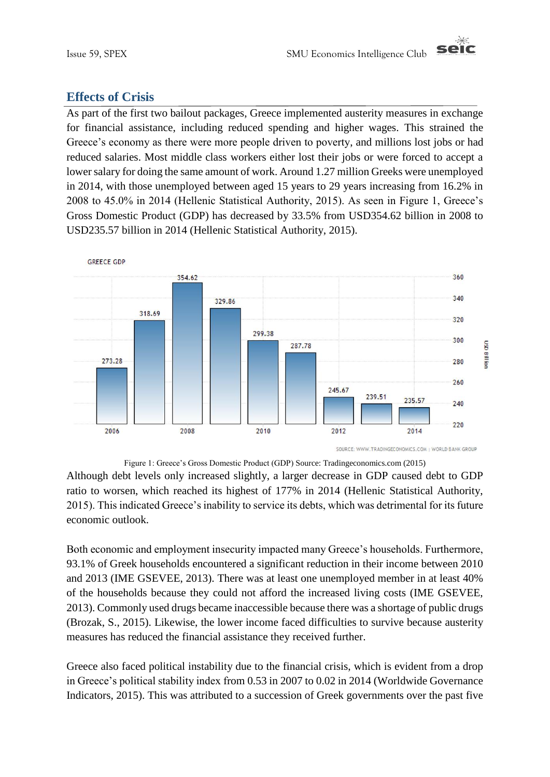

### **Effects of Crisis**

As part of the first two bailout packages, Greece implemented austerity measures in exchange for financial assistance, including reduced spending and higher wages. This strained the Greece's economy as there were more people driven to poverty, and millions lost jobs or had reduced salaries. Most middle class workers either lost their jobs or were forced to accept a lower salary for doing the same amount of work. Around 1.27 million Greeks were unemployed in 2014, with those unemployed between aged 15 years to 29 years increasing from 16.2% in 2008 to 45.0% in 2014 (Hellenic Statistical Authority, 2015). As seen in Figure 1, Greece's Gross Domestic Product (GDP) has decreased by 33.5% from USD354.62 billion in 2008 to USD235.57 billion in 2014 (Hellenic Statistical Authority, 2015).



Figure 1: Greece's Gross Domestic Product (GDP) Source: Tradingeconomics.com (2015)

Although debt levels only increased slightly, a larger decrease in GDP caused debt to GDP ratio to worsen, which reached its highest of 177% in 2014 (Hellenic Statistical Authority, 2015). This indicated Greece's inability to service its debts, which was detrimental for its future economic outlook.

Both economic and employment insecurity impacted many Greece's households. Furthermore, 93.1% of Greek households encountered a significant reduction in their income between 2010 and 2013 (IME GSEVEE, 2013). There was at least one unemployed member in at least 40% of the households because they could not afford the increased living costs (IME GSEVEE, 2013). Commonly used drugs became inaccessible because there was a shortage of public drugs (Brozak, S., 2015). Likewise, the lower income faced difficulties to survive because austerity measures has reduced the financial assistance they received further.

Greece also faced political instability due to the financial crisis, which is evident from a drop in Greece's political stability index from 0.53 in 2007 to 0.02 in 2014 (Worldwide Governance Indicators, 2015). This was attributed to a succession of Greek governments over the past five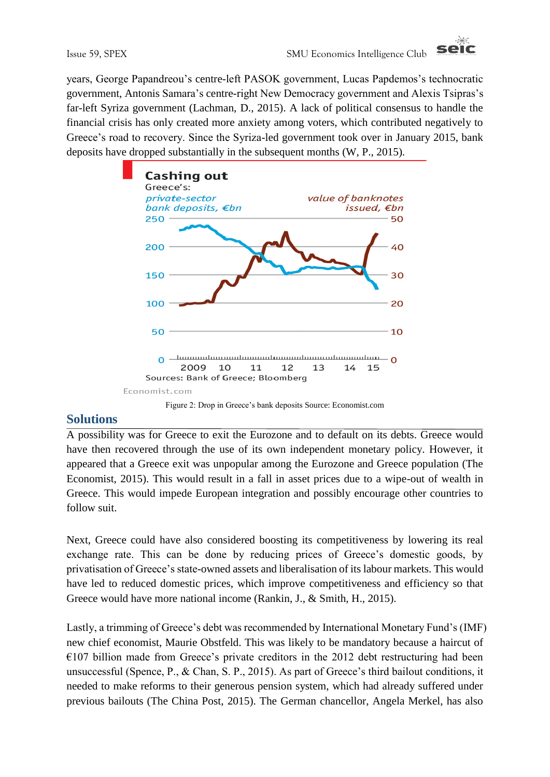

years, George Papandreou's centre-left PASOK government, Lucas Papdemos's technocratic government, Antonis Samara's centre-right New Democracy government and Alexis Tsipras's far-left Syriza government (Lachman, D., 2015). A lack of political consensus to handle the financial crisis has only created more anxiety among voters, which contributed negatively to Greece's road to recovery. Since the Syriza-led government took over in January 2015, bank deposits have dropped substantially in the subsequent months (W, P., 2015).



## **Solutions**

A possibility was for Greece to exit the Eurozone and to default on its debts. Greece would have then recovered through the use of its own independent monetary policy. However, it appeared that a Greece exit was unpopular among the Eurozone and Greece population (The Economist, 2015). This would result in a fall in asset prices due to a wipe-out of wealth in Greece. This would impede European integration and possibly encourage other countries to follow suit.

Next, Greece could have also considered boosting its competitiveness by lowering its real exchange rate. This can be done by reducing prices of Greece's domestic goods, by privatisation of Greece's state-owned assets and liberalisation of its labour markets. This would have led to reduced domestic prices, which improve competitiveness and efficiency so that Greece would have more national income (Rankin, J., & Smith, H., 2015).

Lastly, a trimming of Greece's debt was recommended by International Monetary Fund's (IMF) new chief economist, Maurie Obstfeld. This was likely to be mandatory because a haircut of  $E107$  billion made from Greece's private creditors in the 2012 debt restructuring had been unsuccessful (Spence, P., & Chan, S. P., 2015). As part of Greece's third bailout conditions, it needed to make reforms to their generous pension system, which had already suffered under previous bailouts (The China Post, 2015). The German chancellor, Angela Merkel, has also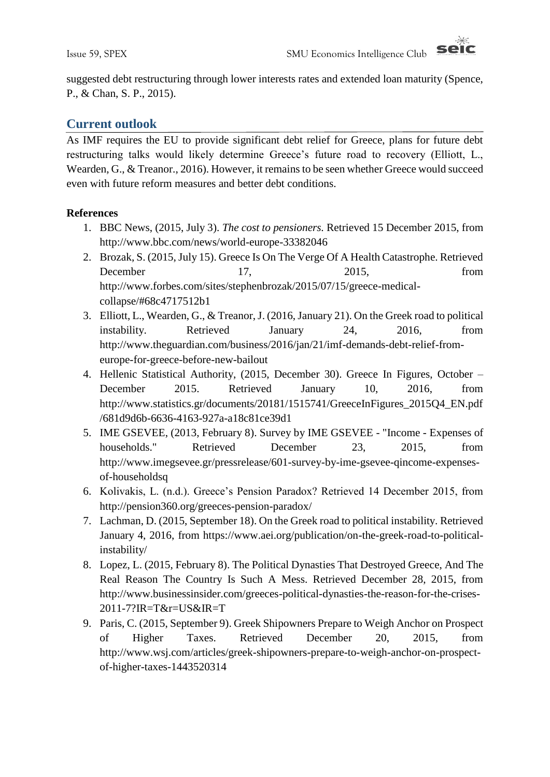

suggested debt restructuring through lower interests rates and extended loan maturity (Spence, P., & Chan, S. P., 2015).

### **Current outlook**

As IMF requires the EU to provide significant debt relief for Greece, plans for future debt restructuring talks would likely determine Greece's future road to recovery (Elliott, L., Wearden, G., & Treanor., 2016). However, it remains to be seen whether Greece would succeed even with future reform measures and better debt conditions.

### **References**

- 1. BBC News, (2015, July 3). *The cost to pensioners.* Retrieved 15 December 2015, from http://www.bbc.com/news/world-europe-33382046
- 2. Brozak, S. (2015, July 15). Greece Is On The Verge Of A Health Catastrophe. Retrieved December 17, 2015, from http://www.forbes.com/sites/stephenbrozak/2015/07/15/greece-medicalcollapse/#68c4717512b1
- 3. Elliott, L., Wearden, G., & Treanor, J. (2016, January 21). On the Greek road to political instability. Retrieved January 24, 2016, from http://www.theguardian.com/business/2016/jan/21/imf-demands-debt-relief-fromeurope-for-greece-before-new-bailout
- 4. Hellenic Statistical Authority, (2015, December 30). Greece In Figures, October December 2015. Retrieved January 10, 2016, from http://www.statistics.gr/documents/20181/1515741/GreeceInFigures\_2015Q4\_EN.pdf /681d9d6b-6636-4163-927a-a18c81ce39d1
- 5. IME GSEVEE, (2013, February 8). Survey by IME GSEVEE "Income Expenses of households." Retrieved December 23, 2015, from http://www.imegsevee.gr/pressrelease/601-survey-by-ime-gsevee-qincome-expensesof-householdsq
- 6. Kolivakis, L. (n.d.). Greece's Pension Paradox? Retrieved 14 December 2015, from http://pension360.org/greeces-pension-paradox/
- 7. Lachman, D. (2015, September 18). On the Greek road to political instability. Retrieved January 4, 2016, from https://www.aei.org/publication/on-the-greek-road-to-politicalinstability/
- 8. Lopez, L. (2015, February 8). The Political Dynasties That Destroyed Greece, And The Real Reason The Country Is Such A Mess. Retrieved December 28, 2015, from http://www.businessinsider.com/greeces-political-dynasties-the-reason-for-the-crises-2011-7?IR=T&r=US&IR=T
- 9. Paris, C. (2015, September 9). Greek Shipowners Prepare to Weigh Anchor on Prospect of Higher Taxes. Retrieved December 20, 2015, from http://www.wsj.com/articles/greek-shipowners-prepare-to-weigh-anchor-on-prospectof-higher-taxes-1443520314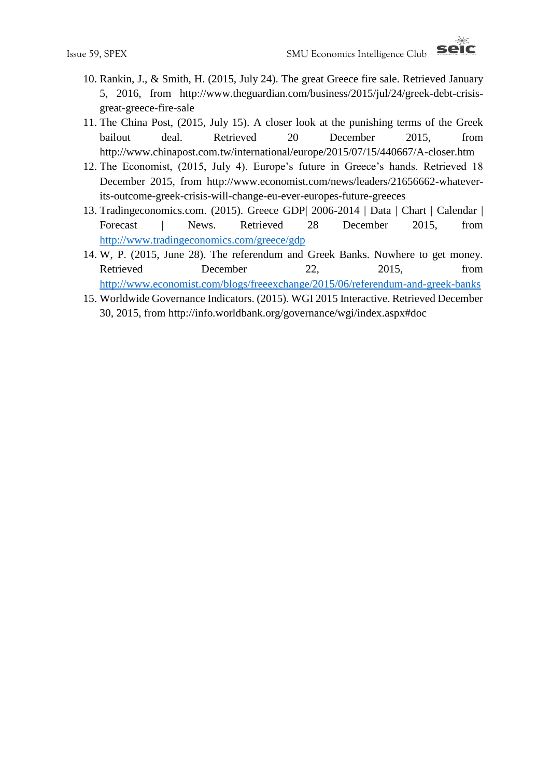

- 10. Rankin, J., & Smith, H. (2015, July 24). The great Greece fire sale. Retrieved January 5, 2016, from http://www.theguardian.com/business/2015/jul/24/greek-debt-crisisgreat-greece-fire-sale
- 11. The China Post, (2015, July 15). A closer look at the punishing terms of the Greek bailout deal. Retrieved 20 December 2015, from http://www.chinapost.com.tw/international/europe/2015/07/15/440667/A-closer.htm
- 12. The Economist, (2015, July 4). Europe's future in Greece's hands. Retrieved 18 December 2015, from http://www.economist.com/news/leaders/21656662-whateverits-outcome-greek-crisis-will-change-eu-ever-europes-future-greeces
- 13. Tradingeconomics.com. (2015). Greece GDP| 2006-2014 | Data | Chart | Calendar | Forecast | News. Retrieved 28 December 2015, from <http://www.tradingeconomics.com/greece/gdp>
- 14. W, P. (2015, June 28). The referendum and Greek Banks. Nowhere to get money. Retrieved December 22, 2015, from <http://www.economist.com/blogs/freeexchange/2015/06/referendum-and-greek-banks>
- 15. Worldwide Governance Indicators. (2015). WGI 2015 Interactive. Retrieved December 30, 2015, from http://info.worldbank.org/governance/wgi/index.aspx#doc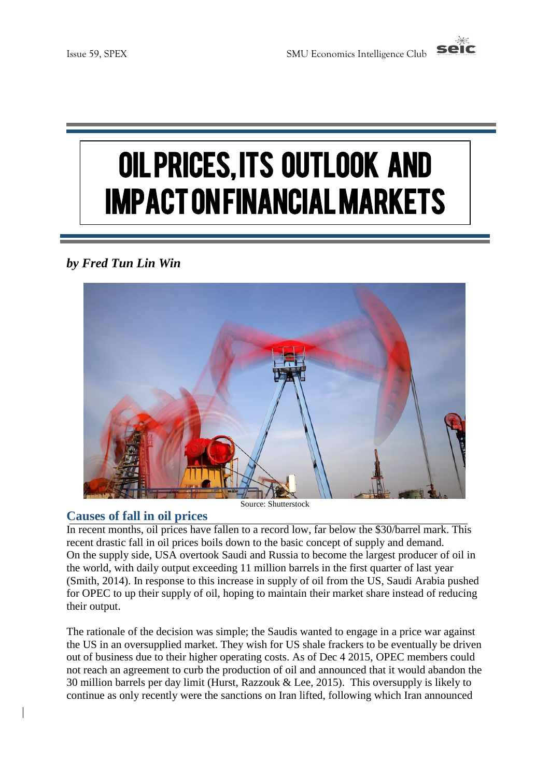

# Oil prices, its outlook and impact on financial markets

# *by Fred Tun Lin Win*



Source: Shutterstock

### **Causes of fall in oil prices**

In recent months, oil prices have fallen to a record low, far below the \$30/barrel mark. This recent drastic fall in oil prices boils down to the basic concept of supply and demand. On the supply side, USA overtook Saudi and Russia to become the largest producer of oil in the world, with daily output exceeding 11 million barrels in the first quarter of last year (Smith, 2014). In response to this increase in supply of oil from the US, Saudi Arabia pushed for OPEC to up their supply of oil, hoping to maintain their market share instead of reducing their output.

The rationale of the decision was simple; the Saudis wanted to engage in a price war against the US in an oversupplied market. They wish for US shale frackers to be eventually be driven out of business due to their higher operating costs. As of Dec 4 2015, OPEC members could not reach an agreement to curb the production of oil and announced that it would abandon the 30 million barrels per day limit (Hurst, Razzouk & Lee, 2015). This oversupply is likely to continue as only recently were the sanctions on Iran lifted, following which Iran announced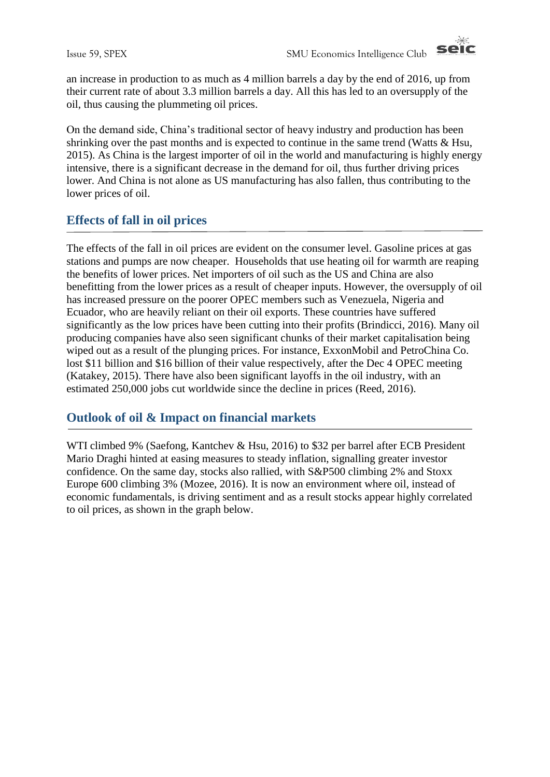

an increase in production to as much as 4 million barrels a day by the end of 2016, up from their current rate of about 3.3 million barrels a day. All this has led to an oversupply of the oil, thus causing the plummeting oil prices.

On the demand side, China's traditional sector of heavy industry and production has been shrinking over the past months and is expected to continue in the same trend (Watts  $\&$  Hsu, 2015). As China is the largest importer of oil in the world and manufacturing is highly energy intensive, there is a significant decrease in the demand for oil, thus further driving prices lower. And China is not alone as US manufacturing has also fallen, thus contributing to the lower prices of oil.

### **Effects of fall in oil prices**

The effects of the fall in oil prices are evident on the consumer level. Gasoline prices at gas stations and pumps are now cheaper. Households that use heating oil for warmth are reaping the benefits of lower prices. Net importers of oil such as the US and China are also benefitting from the lower prices as a result of cheaper inputs. However, the oversupply of oil has increased pressure on the poorer OPEC members such as Venezuela, Nigeria and Ecuador, who are heavily reliant on their oil exports. These countries have suffered significantly as the low prices have been cutting into their profits (Brindicci, 2016). Many oil producing companies have also seen significant chunks of their market capitalisation being wiped out as a result of the plunging prices. For instance, ExxonMobil and PetroChina Co. lost \$11 billion and \$16 billion of their value respectively, after the Dec 4 OPEC meeting (Katakey, 2015). There have also been significant layoffs in the oil industry, with an estimated 250,000 jobs cut worldwide since the decline in prices (Reed, 2016).

### **Outlook of oil & Impact on financial markets**

WTI climbed 9% (Saefong, Kantchev & Hsu, 2016) to \$32 per barrel after ECB President Mario Draghi hinted at easing measures to steady inflation, signalling greater investor confidence. On the same day, stocks also rallied, with S&P500 climbing 2% and Stoxx Europe 600 climbing 3% (Mozee, 2016). It is now an environment where oil, instead of economic fundamentals, is driving sentiment and as a result stocks appear highly correlated to oil prices, as shown in the graph below.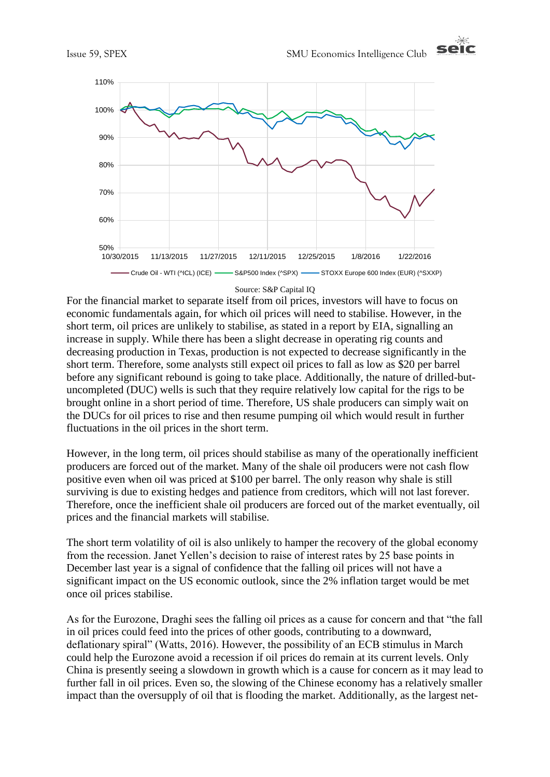



#### Source: S&P Capital IQ

For the financial market to separate itself from oil prices, investors will have to focus on economic fundamentals again, for which oil prices will need to stabilise. However, in the short term, oil prices are unlikely to stabilise, as stated in a report by EIA, signalling an increase in supply. While there has been a slight decrease in operating rig counts and decreasing production in Texas, production is not expected to decrease significantly in the short term. Therefore, some analysts still expect oil prices to fall as low as \$20 per barrel before any significant rebound is going to take place. Additionally, the nature of drilled-butuncompleted (DUC) wells is such that they require relatively low capital for the rigs to be brought online in a short period of time. Therefore, US shale producers can simply wait on the DUCs for oil prices to rise and then resume pumping oil which would result in further fluctuations in the oil prices in the short term.

However, in the long term, oil prices should stabilise as many of the operationally inefficient producers are forced out of the market. Many of the shale oil producers were not cash flow positive even when oil was priced at \$100 per barrel. The only reason why shale is still surviving is due to existing hedges and patience from creditors, which will not last forever. Therefore, once the inefficient shale oil producers are forced out of the market eventually, oil prices and the financial markets will stabilise.

The short term volatility of oil is also unlikely to hamper the recovery of the global economy from the recession. Janet Yellen's decision to raise of interest rates by 25 base points in December last year is a signal of confidence that the falling oil prices will not have a significant impact on the US economic outlook, since the 2% inflation target would be met once oil prices stabilise.

As for the Eurozone, Draghi sees the falling oil prices as a cause for concern and that "the fall in oil prices could feed into the prices of other goods, contributing to a downward, deflationary spiral" (Watts, 2016). However, the possibility of an ECB stimulus in March could help the Eurozone avoid a recession if oil prices do remain at its current levels. Only China is presently seeing a slowdown in growth which is a cause for concern as it may lead to further fall in oil prices. Even so, the slowing of the Chinese economy has a relatively smaller impact than the oversupply of oil that is flooding the market. Additionally, as the largest net-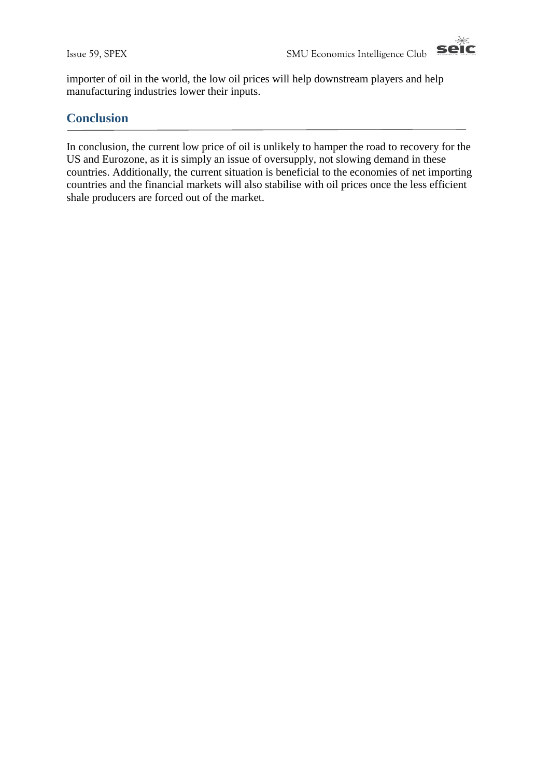

importer of oil in the world, the low oil prices will help downstream players and help manufacturing industries lower their inputs.

### **Conclusion**

In conclusion, the current low price of oil is unlikely to hamper the road to recovery for the US and Eurozone, as it is simply an issue of oversupply, not slowing demand in these countries. Additionally, the current situation is beneficial to the economies of net importing countries and the financial markets will also stabilise with oil prices once the less efficient shale producers are forced out of the market.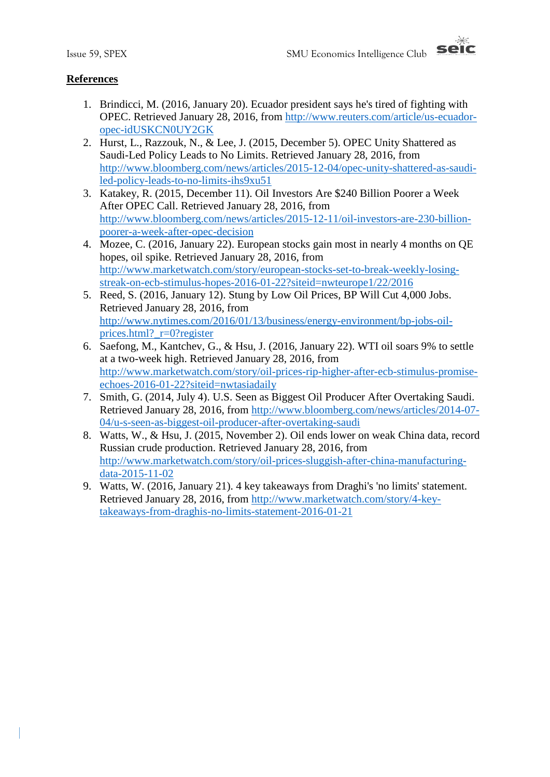

### **References**

- 1. Brindicci, M. (2016, January 20). Ecuador president says he's tired of fighting with OPEC. Retrieved January 28, 2016, from [http://www.reuters.com/article/us-ecuador](http://www.reuters.com/article/us-ecuador-opec-idUSKCN0UY2GK)[opec-idUSKCN0UY2GK](http://www.reuters.com/article/us-ecuador-opec-idUSKCN0UY2GK)
- 2. Hurst, L., Razzouk, N., & Lee, J. (2015, December 5). OPEC Unity Shattered as Saudi-Led Policy Leads to No Limits. Retrieved January 28, 2016, from [http://www.bloomberg.com/news/articles/2015-12-04/opec-unity-shattered-as-saudi](http://www.bloomberg.com/news/articles/2015-12-04/opec-unity-shattered-as-saudi-led-policy-leads-to-no-limits-ihs9xu51)[led-policy-leads-to-no-limits-ihs9xu51](http://www.bloomberg.com/news/articles/2015-12-04/opec-unity-shattered-as-saudi-led-policy-leads-to-no-limits-ihs9xu51)
- 3. Katakey, R. (2015, December 11). Oil Investors Are \$240 Billion Poorer a Week After OPEC Call. Retrieved January 28, 2016, from [http://www.bloomberg.com/news/articles/2015-12-11/oil-investors-are-230-billion](http://www.bloomberg.com/news/articles/2015-12-11/oil-investors-are-230-billion-poorer-a-week-after-opec-decision)[poorer-a-week-after-opec-decision](http://www.bloomberg.com/news/articles/2015-12-11/oil-investors-are-230-billion-poorer-a-week-after-opec-decision)
- 4. Mozee, C. (2016, January 22). European stocks gain most in nearly 4 months on QE hopes, oil spike. Retrieved January 28, 2016, from [http://www.marketwatch.com/story/european-stocks-set-to-break-weekly-losing](http://www.marketwatch.com/story/european-stocks-set-to-break-weekly-losing-streak-on-ecb-stimulus-hopes-2016-01-22?siteid=nwteurope1/22/2016)[streak-on-ecb-stimulus-hopes-2016-01-22?siteid=nwteurope1/22/2016](http://www.marketwatch.com/story/european-stocks-set-to-break-weekly-losing-streak-on-ecb-stimulus-hopes-2016-01-22?siteid=nwteurope1/22/2016)
- 5. Reed, S. (2016, January 12). Stung by Low Oil Prices, BP Will Cut 4,000 Jobs. Retrieved January 28, 2016, from [http://www.nytimes.com/2016/01/13/business/energy-environment/bp-jobs-oil](http://www.nytimes.com/2016/01/13/business/energy-environment/bp-jobs-oil-prices.html?_r=0?register)[prices.html?\\_r=0?register](http://www.nytimes.com/2016/01/13/business/energy-environment/bp-jobs-oil-prices.html?_r=0?register)
- 6. Saefong, M., Kantchev, G., & Hsu, J. (2016, January 22). WTI oil soars 9% to settle at a two-week high. Retrieved January 28, 2016, from [http://www.marketwatch.com/story/oil-prices-rip-higher-after-ecb-stimulus-promise](http://www.marketwatch.com/story/oil-prices-rip-higher-after-ecb-stimulus-promise-echoes-2016-01-22?siteid=nwtasiadaily)[echoes-2016-01-22?siteid=nwtasiadaily](http://www.marketwatch.com/story/oil-prices-rip-higher-after-ecb-stimulus-promise-echoes-2016-01-22?siteid=nwtasiadaily)
- 7. Smith, G. (2014, July 4). U.S. Seen as Biggest Oil Producer After Overtaking Saudi. Retrieved January 28, 2016, from [http://www.bloomberg.com/news/articles/2014-07-](http://www.bloomberg.com/news/articles/2014-07-04/u-s-seen-as-biggest-oil-producer-after-overtaking-saudi) [04/u-s-seen-as-biggest-oil-producer-after-overtaking-saudi](http://www.bloomberg.com/news/articles/2014-07-04/u-s-seen-as-biggest-oil-producer-after-overtaking-saudi)
- 8. Watts, W., & Hsu, J. (2015, November 2). Oil ends lower on weak China data, record Russian crude production. Retrieved January 28, 2016, from [http://www.marketwatch.com/story/oil-prices-sluggish-after-china-manufacturing](http://www.marketwatch.com/story/oil-prices-sluggish-after-china-manufacturing-data-2015-11-02)[data-2015-11-02](http://www.marketwatch.com/story/oil-prices-sluggish-after-china-manufacturing-data-2015-11-02)
- 9. Watts, W. (2016, January 21). 4 key takeaways from Draghi's 'no limits' statement. Retrieved January 28, 2016, from [http://www.marketwatch.com/story/4-key](http://www.marketwatch.com/story/4-key-takeaways-from-draghis-no-limits-statement-2016-01-21)[takeaways-from-draghis-no-limits-statement-2016-01-21](http://www.marketwatch.com/story/4-key-takeaways-from-draghis-no-limits-statement-2016-01-21)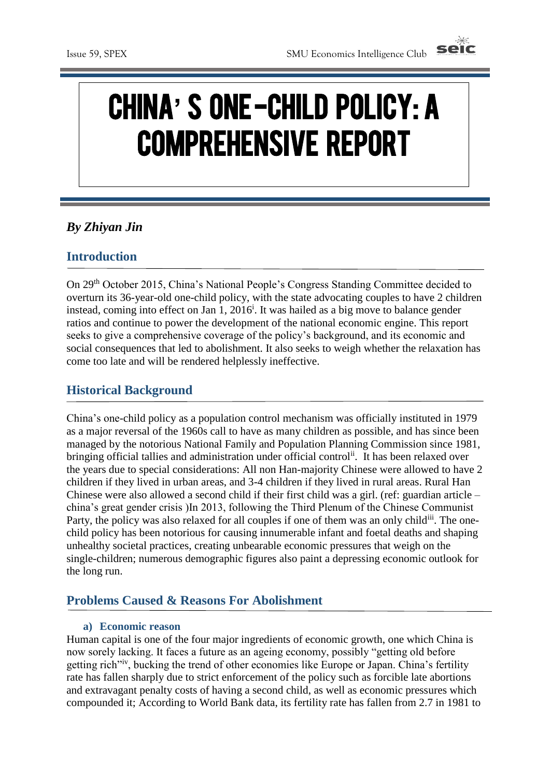

# CHINA**'** S ONE -CHILD POLICY: A COMPREHENSIVE REPORT

## *By Zhiyan Jin*

### **Introduction**

On 29th October 2015, China's National People's Congress Standing Committee decided to overturn its 36-year-old one-child policy, with the state advocating couples to have 2 children instead, coming into effect on Jan 1,  $2016^i$ . It was hailed as a big move to balance gender ratios and continue to power the development of the national economic engine. This report seeks to give a comprehensive coverage of the policy's background, and its economic and social consequences that led to abolishment. It also seeks to weigh whether the relaxation has come too late and will be rendered helplessly ineffective.

### **Historical Background**

China's one-child policy as a population control mechanism was officially instituted in 1979 as a major reversal of the 1960s call to have as many children as possible, and has since been managed by the notorious National Family and Population Planning Commission since 1981, bringing official tallies and administration under official control<sup>ii</sup>. It has been relaxed over the years due to special considerations: All non Han-majority Chinese were allowed to have 2 children if they lived in urban areas, and 3-4 children if they lived in rural areas. Rural Han Chinese were also allowed a second child if their first child was a girl. (ref: guardian article – china's great gender crisis )In 2013, following the Third Plenum of the Chinese Communist Party, the policy was also relaxed for all couples if one of them was an only child<sup>iii</sup>. The onechild policy has been notorious for causing innumerable infant and foetal deaths and shaping unhealthy societal practices, creating unbearable economic pressures that weigh on the single-children; numerous demographic figures also paint a depressing economic outlook for the long run.

### **Problems Caused & Reasons For Abolishment**

#### **a) Economic reason**

Human capital is one of the four major ingredients of economic growth, one which China is now sorely lacking. It faces a future as an ageing economy, possibly "getting old before getting rich"iv, bucking the trend of other economies like Europe or Japan. China's fertility rate has fallen sharply due to strict enforcement of the policy such as forcible late abortions and extravagant penalty costs of having a second child, as well as economic pressures which compounded it; According to World Bank data, its fertility rate has fallen from 2.7 in 1981 to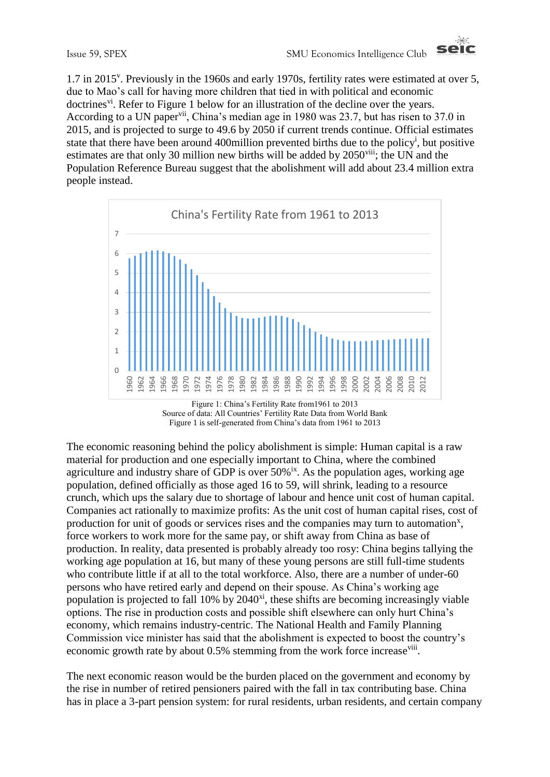

1.7 in 2015<sup>v</sup>. Previously in the 1960s and early 1970s, fertility rates were estimated at over 5, due to Mao's call for having more children that tied in with political and economic doctrines<sup>vi</sup>. Refer to Figure 1 below for an illustration of the decline over the years. According to a UN paper<sup>vii</sup>, China's median age in 1980 was 23.7, but has risen to 37.0 in 2015, and is projected to surge to 49.6 by 2050 if current trends continue. Official estimates state that there have been around 400 million prevented births due to the policy<sup>i</sup>, but positive estimates are that only 30 million new births will be added by 2050<sup>viii</sup>; the UN and the Population Reference Bureau suggest that the abolishment will add about 23.4 million extra people instead.



Figure 1: China's Fertility Rate from1961 to 2013 Source of data: All Countries' Fertility Rate Data from World Bank Figure 1 is self-generated from China's data from 1961 to 2013

The economic reasoning behind the policy abolishment is simple: Human capital is a raw material for production and one especially important to China, where the combined agriculture and industry share of GDP is over  $50\%$ <sup>ix</sup>. As the population ages, working age population, defined officially as those aged 16 to 59, will shrink, leading to a resource crunch, which ups the salary due to shortage of labour and hence unit cost of human capital. Companies act rationally to maximize profits: As the unit cost of human capital rises, cost of production for unit of goods or services rises and the companies may turn to automation<sup>x</sup>, force workers to work more for the same pay, or shift away from China as base of production. In reality, data presented is probably already too rosy: China begins tallying the working age population at 16, but many of these young persons are still full-time students who contribute little if at all to the total workforce. Also, there are a number of under-60 persons who have retired early and depend on their spouse. As China's working age population is projected to fall  $10\%$  by  $2040<sup>xi</sup>$ , these shifts are becoming increasingly viable options. The rise in production costs and possible shift elsewhere can only hurt China's economy, which remains industry-centric. The National Health and Family Planning Commission vice minister has said that the abolishment is expected to boost the country's economic growth rate by about 0.5% stemming from the work force increase<sup>viii</sup>.

The next economic reason would be the burden placed on the government and economy by the rise in number of retired pensioners paired with the fall in tax contributing base. China has in place a 3-part pension system: for rural residents, urban residents, and certain company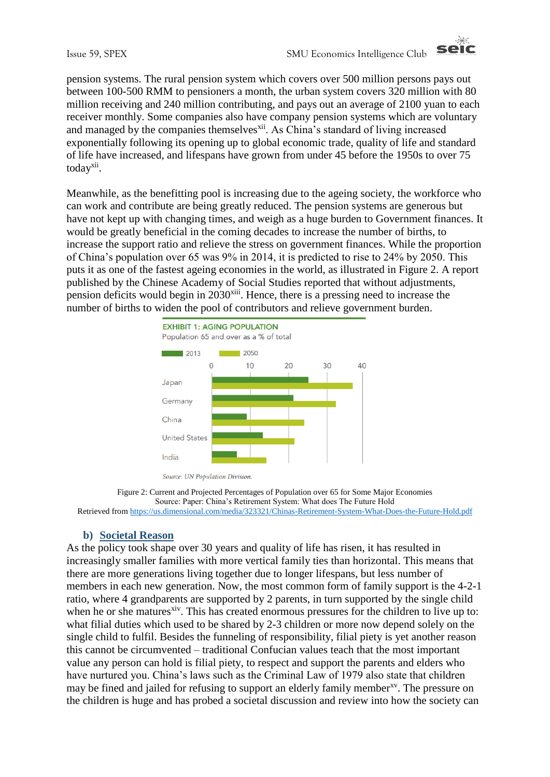

pension systems. The rural pension system which covers over 500 million persons pays out between 100-500 RMM to pensioners a month, the urban system covers 320 million with 80 million receiving and 240 million contributing, and pays out an average of 2100 yuan to each receiver monthly. Some companies also have company pension systems which are voluntary and managed by the companies themselves<sup>xii</sup>. As China's standard of living increased exponentially following its opening up to global economic trade, quality of life and standard of life have increased, and lifespans have grown from under 45 before the 1950s to over 75 today<sup>xii</sup>.

Meanwhile, as the benefitting pool is increasing due to the ageing society, the workforce who can work and contribute are being greatly reduced. The pension systems are generous but have not kept up with changing times, and weigh as a huge burden to Government finances. It would be greatly beneficial in the coming decades to increase the number of births, to increase the support ratio and relieve the stress on government finances. While the proportion of China's population over 65 was 9% in 2014, it is predicted to rise to 24% by 2050. This puts it as one of the fastest ageing economies in the world, as illustrated in Figure 2. A report published by the Chinese Academy of Social Studies reported that without adjustments, pension deficits would begin in  $2030<sup>xiii</sup>$ . Hence, there is a pressing need to increase the number of births to widen the pool of contributors and relieve government burden.



Source: UN Population Division.

Figure 2: Current and Projected Percentages of Population over 65 for Some Major Economies Source: Paper: China's Retirement System: What does The Future Hold Retrieved from<https://us.dimensional.com/media/323321/Chinas-Retirement-System-What-Does-the-Future-Hold.pdf>

### **b) Societal Reason**

As the policy took shape over 30 years and quality of life has risen, it has resulted in increasingly smaller families with more vertical family ties than horizontal. This means that there are more generations living together due to longer lifespans, but less number of members in each new generation. Now, the most common form of family support is the 4-2-1 ratio, where 4 grandparents are supported by 2 parents, in turn supported by the single child when he or she matures<sup>xiv</sup>. This has created enormous pressures for the children to live up to: what filial duties which used to be shared by 2-3 children or more now depend solely on the single child to fulfil. Besides the funneling of responsibility, filial piety is yet another reason this cannot be circumvented – traditional Confucian values teach that the most important value any person can hold is filial piety, to respect and support the parents and elders who have nurtured you. China's laws such as the Criminal Law of 1979 also state that children may be fined and jailed for refusing to support an elderly family member<sup>xy</sup>. The pressure on the children is huge and has probed a societal discussion and review into how the society can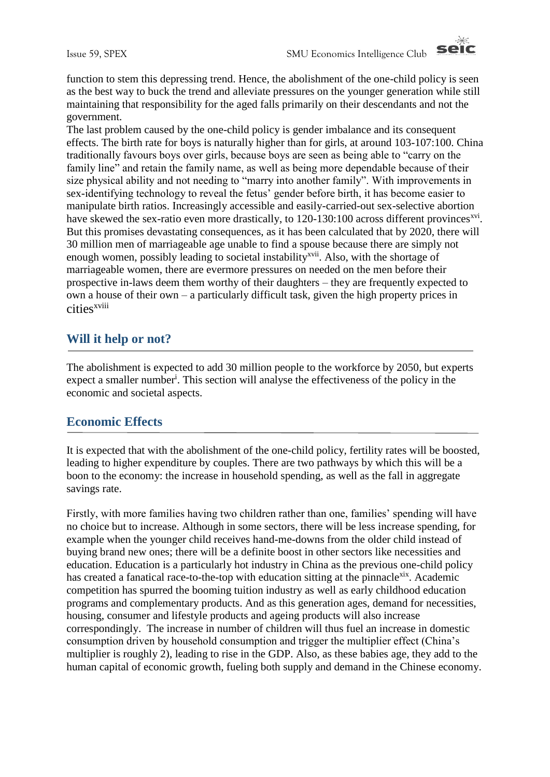

function to stem this depressing trend. Hence, the abolishment of the one-child policy is seen as the best way to buck the trend and alleviate pressures on the younger generation while still maintaining that responsibility for the aged falls primarily on their descendants and not the government.

The last problem caused by the one-child policy is gender imbalance and its consequent effects. The birth rate for boys is naturally higher than for girls, at around 103-107:100. China traditionally favours boys over girls, because boys are seen as being able to "carry on the family line" and retain the family name, as well as being more dependable because of their size physical ability and not needing to "marry into another family". With improvements in sex-identifying technology to reveal the fetus' gender before birth, it has become easier to manipulate birth ratios. Increasingly accessible and easily-carried-out sex-selective abortion have skewed the sex-ratio even more drastically, to 120-130:100 across different provinces<sup>xvi</sup>. But this promises devastating consequences, as it has been calculated that by 2020, there will 30 million men of marriageable age unable to find a spouse because there are simply not enough women, possibly leading to societal instability<sup>xvii</sup>. Also, with the shortage of marriageable women, there are evermore pressures on needed on the men before their prospective in-laws deem them worthy of their daughters – they are frequently expected to own a house of their own – a particularly difficult task, given the high property prices in cities<sup>xviii</sup>

### **Will it help or not?**

The abolishment is expected to add 30 million people to the workforce by 2050, but experts expect a smaller number<sup>i</sup>. This section will analyse the effectiveness of the policy in the economic and societal aspects.

### **Economic Effects**

It is expected that with the abolishment of the one-child policy, fertility rates will be boosted, leading to higher expenditure by couples. There are two pathways by which this will be a boon to the economy: the increase in household spending, as well as the fall in aggregate savings rate.

Firstly, with more families having two children rather than one, families' spending will have no choice but to increase. Although in some sectors, there will be less increase spending, for example when the younger child receives hand-me-downs from the older child instead of buying brand new ones; there will be a definite boost in other sectors like necessities and education. Education is a particularly hot industry in China as the previous one-child policy has created a fanatical race-to-the-top with education sitting at the pinnacle<sup>xix</sup>. Academic competition has spurred the booming tuition industry as well as early childhood education programs and complementary products. And as this generation ages, demand for necessities, housing, consumer and lifestyle products and ageing products will also increase correspondingly. The increase in number of children will thus fuel an increase in domestic consumption driven by household consumption and trigger the multiplier effect (China's multiplier is roughly 2), leading to rise in the GDP. Also, as these babies age, they add to the human capital of economic growth, fueling both supply and demand in the Chinese economy.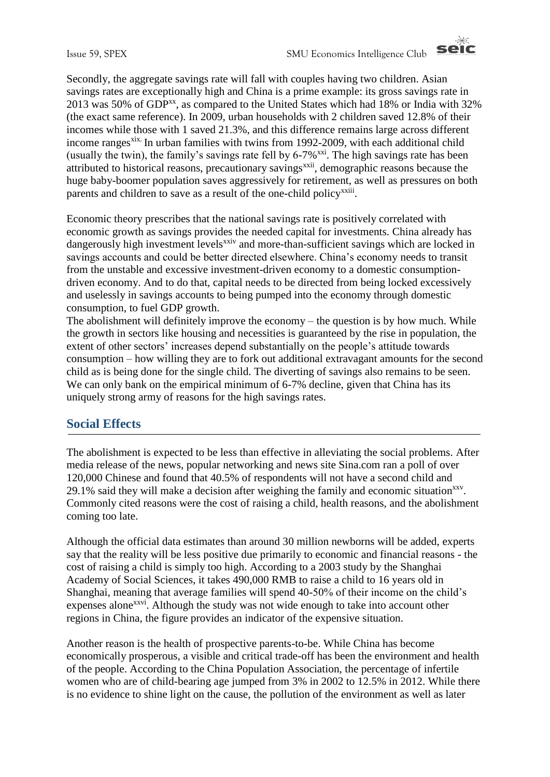

Secondly, the aggregate savings rate will fall with couples having two children. Asian savings rates are exceptionally high and China is a prime example: its gross savings rate in 2013 was 50% of GDP<sup>xx</sup>, as compared to the United States which had 18% or India with 32% (the exact same reference). In 2009, urban households with 2 children saved 12.8% of their incomes while those with 1 saved 21.3%, and this difference remains large across different income ranges<sup>xix.</sup> In urban families with twins from 1992-2009, with each additional child (usually the twin), the family's savings rate fell by  $6-7\%$ <sup>xxi</sup>. The high savings rate has been attributed to historical reasons, precautionary savings<sup>xxii</sup>, demographic reasons because the huge baby-boomer population saves aggressively for retirement, as well as pressures on both parents and children to save as a result of the one-child policy<sup>xxiii</sup>.

Economic theory prescribes that the national savings rate is positively correlated with economic growth as savings provides the needed capital for investments. China already has dangerously high investment levels<sup>xxiv</sup> and more-than-sufficient savings which are locked in savings accounts and could be better directed elsewhere. China's economy needs to transit from the unstable and excessive investment-driven economy to a domestic consumptiondriven economy. And to do that, capital needs to be directed from being locked excessively and uselessly in savings accounts to being pumped into the economy through domestic consumption, to fuel GDP growth.

The abolishment will definitely improve the economy – the question is by how much. While the growth in sectors like housing and necessities is guaranteed by the rise in population, the extent of other sectors' increases depend substantially on the people's attitude towards consumption – how willing they are to fork out additional extravagant amounts for the second child as is being done for the single child. The diverting of savings also remains to be seen. We can only bank on the empirical minimum of 6-7% decline, given that China has its uniquely strong army of reasons for the high savings rates.

### **Social Effects**

The abolishment is expected to be less than effective in alleviating the social problems. After media release of the news, popular networking and news site Sina.com ran a poll of over 120,000 Chinese and found that 40.5% of respondents will not have a second child and 29.1% said they will make a decision after weighing the family and economic situation $x$ <sub>xy</sub>. Commonly cited reasons were the cost of raising a child, health reasons, and the abolishment coming too late.

Although the official data estimates than around 30 million newborns will be added, experts say that the reality will be less positive due primarily to economic and financial reasons - the cost of raising a child is simply too high. According to a 2003 study by the Shanghai Academy of Social Sciences, it takes 490,000 RMB to raise a child to 16 years old in Shanghai, meaning that average families will spend 40-50% of their income on the child's expenses alone<sup>xxvi</sup>. Although the study was not wide enough to take into account other regions in China, the figure provides an indicator of the expensive situation.

Another reason is the health of prospective parents-to-be. While China has become economically prosperous, a visible and critical trade-off has been the environment and health of the people. According to the China Population Association, the percentage of infertile women who are of child-bearing age jumped from 3% in 2002 to 12.5% in 2012. While there is no evidence to shine light on the cause, the pollution of the environment as well as later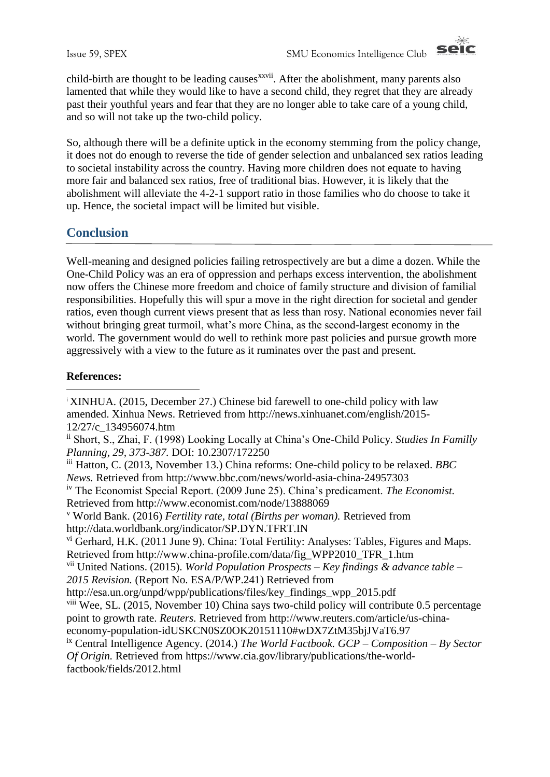

child-birth are thought to be leading causes<sup>xxvii</sup>. After the abolishment, many parents also lamented that while they would like to have a second child, they regret that they are already past their youthful years and fear that they are no longer able to take care of a young child, and so will not take up the two-child policy.

So, although there will be a definite uptick in the economy stemming from the policy change, it does not do enough to reverse the tide of gender selection and unbalanced sex ratios leading to societal instability across the country. Having more children does not equate to having more fair and balanced sex ratios, free of traditional bias. However, it is likely that the abolishment will alleviate the 4-2-1 support ratio in those families who do choose to take it up. Hence, the societal impact will be limited but visible.

## **Conclusion**

Well-meaning and designed policies failing retrospectively are but a dime a dozen. While the One-Child Policy was an era of oppression and perhaps excess intervention, the abolishment now offers the Chinese more freedom and choice of family structure and division of familial responsibilities. Hopefully this will spur a move in the right direction for societal and gender ratios, even though current views present that as less than rosy. National economies never fail without bringing great turmoil, what's more China, as the second-largest economy in the world. The government would do well to rethink more past policies and pursue growth more aggressively with a view to the future as it ruminates over the past and present.

### **References:**

<u>.</u>

<sup>v</sup> World Bank. (2016) *Fertility rate, total (Births per woman).* Retrieved from http://data.worldbank.org/indicator/SP.DYN.TFRT.IN

vi Gerhard, H.K. (2011 June 9). China: Total Fertility: Analyses: Tables, Figures and Maps. Retrieved from http://www.china-profile.com/data/fig\_WPP2010\_TFR\_1.htm

vii United Nations. (2015). *World Population Prospects – Key findings & advance table – 2015 Revision.* (Report No. ESA/P/WP.241) Retrieved from

http://esa.un.org/unpd/wpp/publications/files/key\_findings\_wpp\_2015.pdf

viii Wee, SL. (2015, November 10) China says two-child policy will contribute 0.5 percentage point to growth rate. *Reuters.* Retrieved from http://www.reuters.com/article/us-chinaeconomy-population-idUSKCN0SZ0OK20151110#wDX7ZtM35bjJVaT6.97

ix Central Intelligence Agency. (2014.) *The World Factbook. GCP – Composition – By Sector* 

*Of Origin.* Retrieved from https://www.cia.gov/library/publications/the-worldfactbook/fields/2012.html

<sup>i</sup> XINHUA. (2015, December 27.) Chinese bid farewell to one-child policy with law amended. Xinhua News. Retrieved from http://news.xinhuanet.com/english/2015- 12/27/c\_134956074.htm

ii Short, S., Zhai, F. (1998) Looking Locally at China's One-Child Policy. *Studies In Familly Planning, 29, 373-387.* DOI: 10.2307/172250

iii Hatton, C. (2013, November 13.) China reforms: One-child policy to be relaxed. *BBC News.* Retrieved from http://www.bbc.com/news/world-asia-china-24957303

iv The Economist Special Report. (2009 June 25). China's predicament. *The Economist.*  Retrieved from http://www.economist.com/node/13888069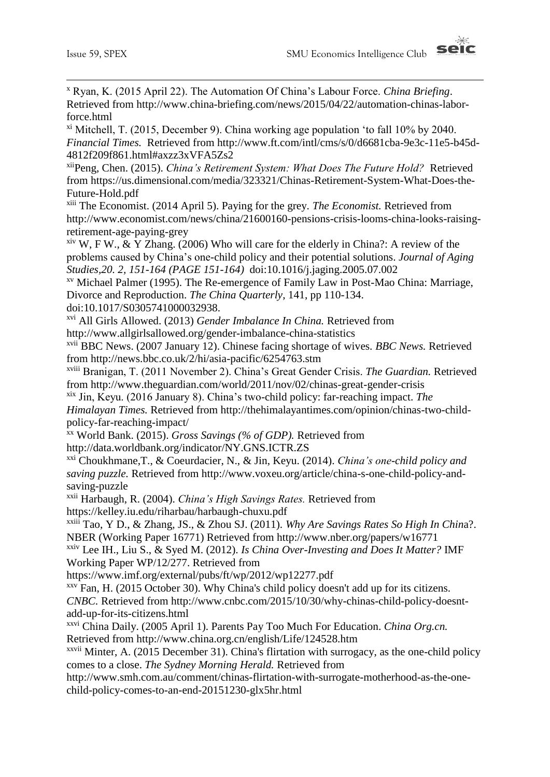1



<sup>x</sup> Ryan, K. (2015 April 22). The Automation Of China's Labour Force. *China Briefing*. Retrieved from http://www.china-briefing.com/news/2015/04/22/automation-chinas-laborforce.html

xi Mitchell, T. (2015, December 9). China working age population 'to fall 10% by 2040. *Financial Times.* Retrieved from http://www.ft.com/intl/cms/s/0/d6681cba-9e3c-11e5-b45d-4812f209f861.html#axzz3xVFA5Zs2

xiiPeng, Chen. (2015). *China's Retirement System: What Does The Future Hold?* Retrieved from https://us.dimensional.com/media/323321/Chinas-Retirement-System-What-Does-the-Future-Hold.pdf

xiii The Economist. (2014 April 5). Paying for the grey. *The Economist.* Retrieved from http://www.economist.com/news/china/21600160-pensions-crisis-looms-china-looks-raisingretirement-age-paying-grey

 $x<sup>ix</sup>$  W, F W., & Y Zhang. (2006) Who will care for the elderly in China?: A review of the problems caused by China's one-child policy and their potential solutions. *Journal of Aging Studies,20. 2, 151-164 (PAGE 151-164)* doi:10.1016/j.jaging.2005.07.002

xv Michael Palmer (1995). The Re-emergence of Family Law in Post-Mao China: Marriage, Divorce and Reproduction. *The China Quarterly*, 141, pp 110-134. doi:10.1017/S0305741000032938.

xvi All Girls Allowed. (2013) *Gender Imbalance In China.* Retrieved from http://www.allgirlsallowed.org/gender-imbalance-china-statistics

xvii BBC News. (2007 January 12). Chinese facing shortage of wives. *BBC News.* Retrieved from http://news.bbc.co.uk/2/hi/asia-pacific/6254763.stm

xviii Branigan, T. (2011 November 2). China's Great Gender Crisis. *The Guardian.* Retrieved from http://www.theguardian.com/world/2011/nov/02/chinas-great-gender-crisis

xix Jin, Keyu. (2016 January 8). China's two-child policy: far-reaching impact. *The Himalayan Times.* Retrieved from http://thehimalayantimes.com/opinion/chinas-two-childpolicy-far-reaching-impact/

xx World Bank. (2015). *Gross Savings (% of GDP).* Retrieved from

http://data.worldbank.org/indicator/NY.GNS.ICTR.ZS

xxi Choukhmane,T., & Coeurdacier, N., & Jin, Keyu. (2014). *China's one-child policy and saving puzzle.* Retrieved from http://www.voxeu.org/article/china-s-one-child-policy-andsaving-puzzle

xxii Harbaugh, R. (2004). *China's High Savings Rates.* Retrieved from https://kelley.iu.edu/riharbau/harbaugh-chuxu.pdf

xxiii Tao, Y D., & Zhang, JS., & Zhou SJ. (2011). *Why Are Savings Rates So High In Chin*a?. NBER (Working Paper 16771) Retrieved from http://www.nber.org/papers/w16771

xxiv Lee IH., Liu S., & Syed M. (2012). *Is China Over-Investing and Does It Matter?* IMF Working Paper WP/12/277. Retrieved from

https://www.imf.org/external/pubs/ft/wp/2012/wp12277.pdf

 $xxy$  Fan, H. (2015 October 30). Why China's child policy doesn't add up for its citizens. *CNBC.* Retrieved from http://www.cnbc.com/2015/10/30/why-chinas-child-policy-doesntadd-up-for-its-citizens.html

xxvi China Daily. (2005 April 1). Parents Pay Too Much For Education. *China Org.cn.* Retrieved from http://www.china.org.cn/english/Life/124528.htm

 $x$ <sup>xxvii</sup> Minter, A. (2015 December 31). China's flirtation with surrogacy, as the one-child policy comes to a close. *The Sydney Morning Herald.* Retrieved from

http://www.smh.com.au/comment/chinas-flirtation-with-surrogate-motherhood-as-the-onechild-policy-comes-to-an-end-20151230-glx5hr.html